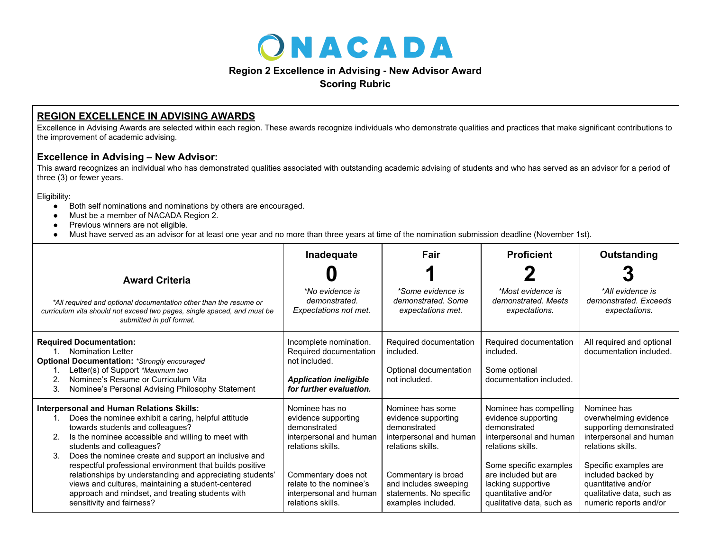

## **Region 2 Excellence in Advising - New Advisor Award**

**Scoring Rubric**

## **REGION EXCELLENCE IN ADVISING AWARDS**

Excellence in Advising Awards are selected within each region. These awards recognize individuals who demonstrate qualities and practices that make significant contributions to the improvement of academic advising.

## **Excellence in Advising – New Advisor:**

This award recognizes an individual who has demonstrated qualities associated with outstanding academic advising of students and who has served as an advisor for a period of three (3) or fewer years.

Eligibility:

- Both self nominations and nominations by others are encouraged.
- Must be a member of NACADA Region 2.
- Previous winners are not eligible.
- Must have served as an advisor for at least one year and no more than three years at time of the nomination submission deadline (November 1st).

| <b>Award Criteria</b>                                                                                                                                                                                                                                                                                                                                                                                                                                                                                                                                             | Inadequate                                                                                                                                                                                              | Fair                                                                                                                                                                                                     | <b>Proficient</b>                                                                                                                                                                                                                         | Outstanding                                                                                                                                                                                                                                  |
|-------------------------------------------------------------------------------------------------------------------------------------------------------------------------------------------------------------------------------------------------------------------------------------------------------------------------------------------------------------------------------------------------------------------------------------------------------------------------------------------------------------------------------------------------------------------|---------------------------------------------------------------------------------------------------------------------------------------------------------------------------------------------------------|----------------------------------------------------------------------------------------------------------------------------------------------------------------------------------------------------------|-------------------------------------------------------------------------------------------------------------------------------------------------------------------------------------------------------------------------------------------|----------------------------------------------------------------------------------------------------------------------------------------------------------------------------------------------------------------------------------------------|
| *All required and optional documentation other than the resume or<br>curriculum vita should not exceed two pages, single spaced, and must be<br>submitted in pdf format.                                                                                                                                                                                                                                                                                                                                                                                          | *No evidence is<br>demonstrated.<br>Expectations not met.                                                                                                                                               | *Some evidence is<br>demonstrated. Some<br>expectations met.                                                                                                                                             | *Most evidence is<br>demonstrated, Meets<br>expectations.                                                                                                                                                                                 | *All evidence is<br>demonstrated. Exceeds<br>expectations.                                                                                                                                                                                   |
| <b>Required Documentation:</b><br><b>Nomination Letter</b><br><b>Optional Documentation: *Strongly encouraged</b><br>Letter(s) of Support *Maximum two<br>Nominee's Resume or Curriculum Vita<br>3.<br>Nominee's Personal Advising Philosophy Statement                                                                                                                                                                                                                                                                                                           | Incomplete nomination.<br>Required documentation<br>not included.<br><b>Application ineligible</b><br>for further evaluation.                                                                           | Required documentation<br>included.<br>Optional documentation<br>not included.                                                                                                                           | Required documentation<br>included.<br>Some optional<br>documentation included.                                                                                                                                                           | All required and optional<br>documentation included.                                                                                                                                                                                         |
| <b>Interpersonal and Human Relations Skills:</b><br>Does the nominee exhibit a caring, helpful attitude<br>towards students and colleagues?<br>Is the nominee accessible and willing to meet with<br>2.<br>students and colleagues?<br>Does the nominee create and support an inclusive and<br>3.<br>respectful professional environment that builds positive<br>relationships by understanding and appreciating students'<br>views and cultures, maintaining a student-centered<br>approach and mindset, and treating students with<br>sensitivity and fairness? | Nominee has no<br>evidence supporting<br>demonstrated<br>interpersonal and human<br>relations skills.<br>Commentary does not<br>relate to the nominee's<br>interpersonal and human<br>relations skills. | Nominee has some<br>evidence supporting<br>demonstrated<br>interpersonal and human<br>relations skills.<br>Commentary is broad<br>and includes sweeping<br>statements. No specific<br>examples included. | Nominee has compelling<br>evidence supporting<br>demonstrated<br>interpersonal and human<br>relations skills.<br>Some specific examples<br>are included but are<br>lacking supportive<br>quantitative and/or<br>qualitative data, such as | Nominee has<br>overwhelming evidence<br>supporting demonstrated<br>interpersonal and human<br>relations skills.<br>Specific examples are<br>included backed by<br>quantitative and/or<br>qualitative data, such as<br>numeric reports and/or |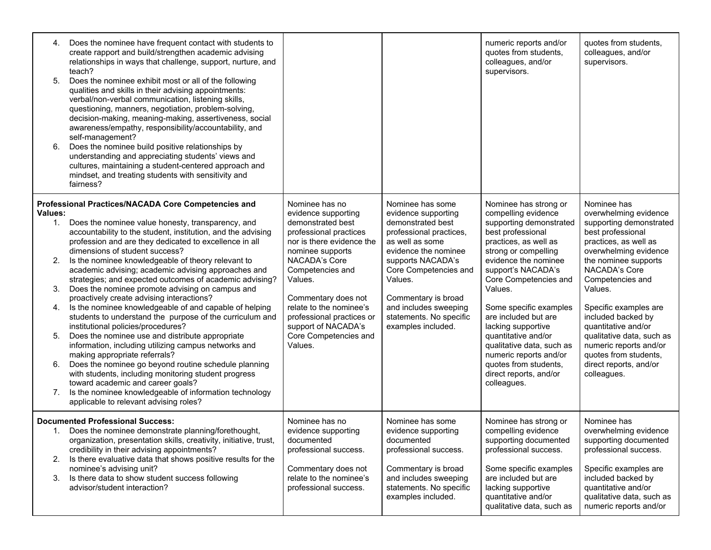| 4.<br>5.<br>6.                                             | Does the nominee have frequent contact with students to<br>create rapport and build/strengthen academic advising<br>relationships in ways that challenge, support, nurture, and<br>teach?<br>Does the nominee exhibit most or all of the following<br>qualities and skills in their advising appointments:<br>verbal/non-verbal communication, listening skills,<br>questioning, manners, negotiation, problem-solving,<br>decision-making, meaning-making, assertiveness, social<br>awareness/empathy, responsibility/accountability, and<br>self-management?<br>Does the nominee build positive relationships by<br>understanding and appreciating students' views and<br>cultures, maintaining a student-centered approach and<br>mindset, and treating students with sensitivity and<br>fairness?                                                                                                                                                                                                                                                                                                         |                                                                                                                                                                                                                                                                                                                                 |                                                                                                                                                                                                                                                                                              | numeric reports and/or<br>quotes from students,<br>colleagues, and/or<br>supervisors.                                                                                                                                                                                                                                                                                                                                                                   | quotes from students,<br>colleagues, and/or<br>supervisors.                                                                                                                                                                                                                                                                                                                                                   |
|------------------------------------------------------------|---------------------------------------------------------------------------------------------------------------------------------------------------------------------------------------------------------------------------------------------------------------------------------------------------------------------------------------------------------------------------------------------------------------------------------------------------------------------------------------------------------------------------------------------------------------------------------------------------------------------------------------------------------------------------------------------------------------------------------------------------------------------------------------------------------------------------------------------------------------------------------------------------------------------------------------------------------------------------------------------------------------------------------------------------------------------------------------------------------------|---------------------------------------------------------------------------------------------------------------------------------------------------------------------------------------------------------------------------------------------------------------------------------------------------------------------------------|----------------------------------------------------------------------------------------------------------------------------------------------------------------------------------------------------------------------------------------------------------------------------------------------|---------------------------------------------------------------------------------------------------------------------------------------------------------------------------------------------------------------------------------------------------------------------------------------------------------------------------------------------------------------------------------------------------------------------------------------------------------|---------------------------------------------------------------------------------------------------------------------------------------------------------------------------------------------------------------------------------------------------------------------------------------------------------------------------------------------------------------------------------------------------------------|
| Values:<br>$1_{\cdot}$<br>2.<br>3.<br>4.<br>5.<br>6.<br>7. | Professional Practices/NACADA Core Competencies and<br>Does the nominee value honesty, transparency, and<br>accountability to the student, institution, and the advising<br>profession and are they dedicated to excellence in all<br>dimensions of student success?<br>Is the nominee knowledgeable of theory relevant to<br>academic advising; academic advising approaches and<br>strategies; and expected outcomes of academic advising?<br>Does the nominee promote advising on campus and<br>proactively create advising interactions?<br>Is the nominee knowledgeable of and capable of helping<br>students to understand the purpose of the curriculum and<br>institutional policies/procedures?<br>Does the nominee use and distribute appropriate<br>information, including utilizing campus networks and<br>making appropriate referrals?<br>Does the nominee go beyond routine schedule planning<br>with students, including monitoring student progress<br>toward academic and career goals?<br>Is the nominee knowledgeable of information technology<br>applicable to relevant advising roles? | Nominee has no<br>evidence supporting<br>demonstrated best<br>professional practices<br>nor is there evidence the<br>nominee supports<br>NACADA's Core<br>Competencies and<br>Values.<br>Commentary does not<br>relate to the nominee's<br>professional practices or<br>support of NACADA's<br>Core Competencies and<br>Values. | Nominee has some<br>evidence supporting<br>demonstrated best<br>professional practices,<br>as well as some<br>evidence the nominee<br>supports NACADA's<br>Core Competencies and<br>Values.<br>Commentary is broad<br>and includes sweeping<br>statements. No specific<br>examples included. | Nominee has strong or<br>compelling evidence<br>supporting demonstrated<br>best professional<br>practices, as well as<br>strong or compelling<br>evidence the nominee<br>support's NACADA's<br>Core Competencies and<br>Values.<br>Some specific examples<br>are included but are<br>lacking supportive<br>quantitative and/or<br>qualitative data, such as<br>numeric reports and/or<br>quotes from students,<br>direct reports, and/or<br>colleagues. | Nominee has<br>overwhelming evidence<br>supporting demonstrated<br>best professional<br>practices, as well as<br>overwhelming evidence<br>the nominee supports<br>NACADA's Core<br>Competencies and<br>Values.<br>Specific examples are<br>included backed by<br>quantitative and/or<br>qualitative data, such as<br>numeric reports and/or<br>quotes from students,<br>direct reports, and/or<br>colleagues. |
| 2.<br>3.                                                   | <b>Documented Professional Success:</b><br>1. Does the nominee demonstrate planning/forethought,<br>organization, presentation skills, creativity, initiative, trust,<br>credibility in their advising appointments?<br>Is there evaluative data that shows positive results for the<br>nominee's advising unit?<br>Is there data to show student success following<br>advisor/student interaction?                                                                                                                                                                                                                                                                                                                                                                                                                                                                                                                                                                                                                                                                                                           | Nominee has no<br>evidence supporting<br>documented<br>professional success.<br>Commentary does not<br>relate to the nominee's<br>professional success.                                                                                                                                                                         | Nominee has some<br>evidence supporting<br>documented<br>professional success.<br>Commentary is broad<br>and includes sweeping<br>statements. No specific<br>examples included.                                                                                                              | Nominee has strong or<br>compelling evidence<br>supporting documented<br>professional success.<br>Some specific examples<br>are included but are<br>lacking supportive<br>quantitative and/or<br>qualitative data, such as                                                                                                                                                                                                                              | Nominee has<br>overwhelming evidence<br>supporting documented<br>professional success.<br>Specific examples are<br>included backed by<br>quantitative and/or<br>qualitative data, such as<br>numeric reports and/or                                                                                                                                                                                           |